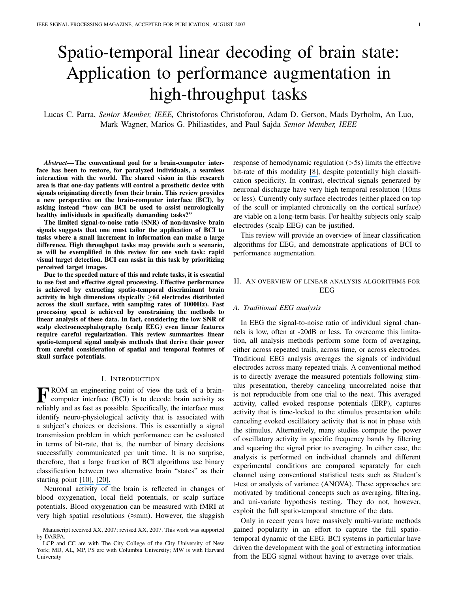# Spatio-temporal linear decoding of brain state: Application to performance augmentation in high-throughput tasks

Lucas C. Parra, *Senior Member, IEEE,* Christoforos Christoforou, Adam D. Gerson, Mads Dyrholm, An Luo, Mark Wagner, Marios G. Philiastides, and Paul Sajda *Senior Member, IEEE*

*Abstract***—The conventional goal for a brain-computer interface has been to restore, for paralyzed individuals, a seamless interaction with the world. The shared vision in this research area is that one-day patients will control a prosthetic device with signals originating directly from their brain. This review provides a new perspective on the brain-computer interface (BCI), by asking instead "how can BCI be used to assist neurologically healthy individuals in specifically demanding tasks?"**

**The limited signal-to-noise ratio (SNR) of non-invasive brain signals suggests that one must tailor the application of BCI to tasks where a small increment in information can make a large difference. High throughput tasks may provide such a scenario, as will be exemplified in this review for one such task: rapid visual target detection. BCI can assist in this task by prioritizing perceived target images.**

**Due to the speeded nature of this and relate tasks, it is essential to use fast and effective signal processing. Effective performance is achieved by extracting spatio-temporal discriminant brain activity in high dimensions (typically** ≥**64 electrodes distributed across the skull surface, with sampling rates of 1000Hz). Fast processing speed is achieved by constraining the methods to linear analysis of these data. In fact, considering the low SNR of scalp electroencephalography (scalp EEG) even linear features require careful regularization. This review summarizes linear spatio-temporal signal analysis methods that derive their power from careful consideration of spatial and temporal features of skull surface potentials.**

#### I. INTRODUCTION

**F** ROM an engineering point of view the task of a brain-<br>computer interface (BCI) is to decode brain activity as computer interface (BCI) is to decode brain activity as reliably and as fast as possible. Specifically, the interface must identify neuro-physiological activity that is associated with a subject's choices or decisions. This is essentially a signal transmission problem in which performance can be evaluated in terms of bit-rate, that is, the number of binary decisions successfully communicated per unit time. It is no surprise, therefore, that a large fraction of BCI algorithms use binary classification between two alternative brain "states" as their starting point [\[10\],](https://www.researchgate.net/publication/37271882_A_review_of_classification_algorithms_for_EEG-based_brain-computer_interfaces?el=1_x_8&enrichId=rgreq-6182b46cc62de8636034c4aa3b578402-XXX&enrichSource=Y292ZXJQYWdlOzI1MDIwNjg4ODtBUzoxMTQ5MDc3NTIxNzc2NjZAMTQwNDQwNzU1MTMxNA==) [\[20\].](https://www.researchgate.net/publication/6414949_Boosting_bit_rates_and_error_detection_for_the_classication_of_fast-paced_motor_commands_based_on_single-trial_EEG_analysis?el=1_x_8&enrichId=rgreq-6182b46cc62de8636034c4aa3b578402-XXX&enrichSource=Y292ZXJQYWdlOzI1MDIwNjg4ODtBUzoxMTQ5MDc3NTIxNzc2NjZAMTQwNDQwNzU1MTMxNA==)

Neuronal activity of the brain is reflected in changes of blood oxygenation, local field potentials, or scalp surface potentials. Blood oxygenation can be measured with fMRI at very high spatial resolutions ( $\approx$ mm). However, the sluggish response of hemodynamic regulation (>5s) limits the effective bit-rate of this modality [\[8\]](https://www.researchgate.net/publication/14122732_Limitations_of_temporal_resolution_in_functional_MRI?el=1_x_8&enrichId=rgreq-6182b46cc62de8636034c4aa3b578402-XXX&enrichSource=Y292ZXJQYWdlOzI1MDIwNjg4ODtBUzoxMTQ5MDc3NTIxNzc2NjZAMTQwNDQwNzU1MTMxNA==), despite potentially high classification specificity. In contrast, electrical signals generated by neuronal discharge have very high temporal resolution (10ms or less). Currently only surface electrodes (either placed on top of the scull or implanted chronically on the cortical surface) are viable on a long-term basis. For healthy subjects only scalp electrodes (scalp EEG) can be justified.

This review will provide an overview of linear classification algorithms for EEG, and demonstrate applications of BCI to performance augmentation.

## II. AN OVERVIEW OF LINEAR ANALYSIS ALGORITHMS FOR EEG

## *A. Traditional EEG analysis*

In EEG the signal-to-noise ratio of individual signal channels is low, often at -20dB or less. To overcome this limitation, all analysis methods perform some form of averaging, either across repeated trails, across time, or across electrodes. Traditional EEG analysis averages the signals of individual electrodes across many repeated trials. A conventional method is to directly average the measured potentials following stimulus presentation, thereby canceling uncorrelated noise that is not reproducible from one trial to the next. This averaged activity, called evoked response potentials (ERP), captures activity that is time-locked to the stimulus presentation while canceling evoked oscillatory activity that is not in phase with the stimulus. Alternatively, many studies compute the power of oscillatory activity in specific frequency bands by filtering and squaring the signal prior to averaging. In either case, the analysis is performed on individual channels and different experimental conditions are compared separately for each channel using conventional statistical tests such as Student's t-test or analysis of variance (ANOVA). These approaches are motivated by traditional concepts such as averaging, filtering, and uni-variate hypothesis testing. They do not, however, exploit the full spatio-temporal structure of the data.

Only in recent years have massively multi-variate methods gained popularity in an effort to capture the full spatiotemporal dynamic of the EEG. BCI systems in particular have driven the development with the goal of extracting information from the EEG signal without having to average over trials.

Manuscript received XX, 2007; revised XX, 2007. This work was supported by DARPA.

LCP and CC are with The City College of the City University of New York; MD, AL, MP, PS are with Columbia University; MW is with Harvard University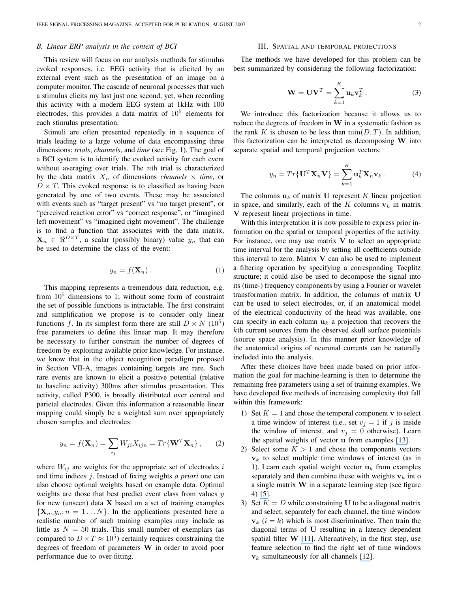#### *B. Linear ERP analysis in the context of BCI*

This review will focus on our analysis methods for stimulus evoked responses, i.e. EEG activity that is elicited by an external event such as the presentation of an image on a computer monitor. The cascade of neuronal processes that such a stimulus elicits my last just one second, yet, when recording this activity with a modern EEG system at 1kHz with 100 electrodes, this provides a data matrix of 10<sup>5</sup> elements for each stimulus presentation.

Stimuli are often presented repeatedly in a sequence of trials leading to a large volume of data encompassing three dimensions: *trials*, *channels*, and *time* (see Fig. 1). The goal of a BCI system is to identify the evoked activity for each event without averaging over trials. The *nth* trial is characterized by the data matrix  $X_n$  of dimensions *channels*  $\times$  *time*, or  $D \times T$ . This evoked response is to classified as having been generated by one of two events. These may be associated with events such as "target present" vs "no target present", or "perceived reaction error" vs "correct response", or "imagined left movement" vs "imagined right movement". The challenge is to find a function that associates with the data matrix,  $\mathbf{X}_n \in \Re^{D \times T}$ , a scalar (possibly binary) value  $y_n$  that can be used to determine the class of the event:

$$
y_n = f(\mathbf{X}_n). \tag{1}
$$

This mapping represents a tremendous data reduction, e.g. from  $10<sup>5</sup>$  dimensions to 1; without some form of constraint the set of possible functions is intractable. The first constraint and simplification we propose is to consider only linear functions f. In its simplest form there are still  $D \times N$  (10<sup>5</sup>) free parameters to define this linear map. It may therefore be necessary to further constrain the number of degrees of freedom by exploiting available prior knowledge. For instance, we know that in the object recognition paradigm proposed in Section VII-A, images containing targets are rare. Such rare events are known to elicit a positive potential (relative to baseline activity) 300ms after stimulus presentation. This activity, called P300, is broadly distributed over central and parietal electrodes. Given this information a reasonable linear mapping could simply be a weighted sum over appropriately chosen samples and electrodes:

$$
y_n = f(\mathbf{X}_n) = \sum_{ij} W_{ji} X_{ijn} = Tr\{\mathbf{W}^T \mathbf{X}_n\},\qquad(2)
$$

where  $W_{ij}$  are weights for the appropriate set of electrodes i and time indices j. Instead of fixing weights *a priori* one can also choose optimal weights based on example data. Optimal weights are those that best predict event class from values  $y$ for new (unseen) data  $X$  based on a set of training examples  $\{X_n, y_n; n = 1...N\}$ . In the applications presented here a realistic number of such training examples may include as little as  $N = 50$  trials. This small number of exemplars (as compared to  $D \times T \approx 10^5$ ) certainly requires constraining the degrees of freedom of parameters W in order to avoid poor performance due to over-fitting.

### III. SPATIAL AND TEMPORAL PROJECTIONS

The methods we have developed for this problem can be best summarized by considering the following factorization:

$$
\mathbf{W} = \mathbf{U}\mathbf{V}^T = \sum_{k=1}^K \mathbf{u}_k \mathbf{v}_k^T.
$$
 (3)

We introduce this factorization because it allows us to reduce the degrees of freedom in  $W$  in a systematic fashion as the rank K is chosen to be less than  $\min(D, T)$ . In addition, this factorization can be interpreted as decomposing W into separate spatial and temporal projection vectors:

$$
y_n = Tr{\{\mathbf{U}^T \mathbf{X}_n \mathbf{V}\}} = \sum_{k=1}^K \mathbf{u}_k^T \mathbf{X}_n \mathbf{v}_k.
$$
 (4)

The columns  $u_k$  of matrix U represent K linear projection in space, and similarly, each of the K columns  $v_k$  in matrix V represent linear projections in time.

With this interpretation it is now possible to express prior information on the spatial or temporal properties of the activity. For instance, one may use matrix  $V$  to select an appropriate time interval for the analysis by setting all coefficients outside this interval to zero. Matrix  $V$  can also be used to implement a filtering operation by specifying a corresponding Toeplitz structure; it could also be used to decompose the signal into its (time-) frequency components by using a Fourier or wavelet transformation matrix. In addition, the columns of matrix U can be used to select electrodes, or, if an anatomical model of the electrical conductivity of the head was available, one can specify in each column  $u_k$  a projection that recovers the kth current sources from the observed skull surface potentials (source space analysis). In this manner prior knowledge of the anatomical origins of neuronal currents can be naturally included into the analysis.

After these choices have been made based on prior information the goal for machine-learning is then to determine the remaining free parameters using a set of training examples. We have developed five methods of increasing complexity that fall within this framework:

- 1) Set  $K = 1$  and chose the temporal component v to select a time window of interest (i.e., set  $v_j = 1$  if j is inside the window of interest, and  $v_j = 0$  otherwise). Learn the spatial weights of vector u from examples [\[13\]](https://www.researchgate.net/publication/10991080_Linear_Spatial_Integration_for_Single_Trial_Detection_in_Encephalography?el=1_x_8&enrichId=rgreq-6182b46cc62de8636034c4aa3b578402-XXX&enrichSource=Y292ZXJQYWdlOzI1MDIwNjg4ODtBUzoxMTQ5MDc3NTIxNzc2NjZAMTQwNDQwNzU1MTMxNA==).
- 2) Select some  $K > 1$  and chose the components vectors  $v_k$  to select multiple time windows of interest (as in 1). Learn each spatial weight vector  $\mathbf{u}_k$  from examples separately and then combine these with weights  $v_k$  int o a single matrix W in a separate learning step (see figure 4) [\[5\]](https://www.researchgate.net/publication/3430747_Cortically_Coupled_Computer_Vision_for_Rapid_Image_Search?el=1_x_8&enrichId=rgreq-6182b46cc62de8636034c4aa3b578402-XXX&enrichSource=Y292ZXJQYWdlOzI1MDIwNjg4ODtBUzoxMTQ5MDc3NTIxNzc2NjZAMTQwNDQwNzU1MTMxNA==).
- 3) Set  $K = D$  while constraining U to be a diagonal matrix and select, separately for each channel, the time window  $v_k$  ( $i = k$ ) which is most discriminative. Then train the diagonal terms of U resulting in a latency dependent spatial filter W [\[11\]](https://www.researchgate.net/publication/7266831_Learning_discrimination_trajectories_in_EEG_sensor_space_Application_to_inferring_task_difficulty?el=1_x_8&enrichId=rgreq-6182b46cc62de8636034c4aa3b578402-XXX&enrichSource=Y292ZXJQYWdlOzI1MDIwNjg4ODtBUzoxMTQ5MDc3NTIxNzc2NjZAMTQwNDQwNzU1MTMxNA==). Alternatively, in the first step, use feature selection to find the right set of time windows  $v_k$  simultaneously for all channels [\[12\]](https://www.researchgate.net/publication/5898420_Using_Single-Trial_EEG_to_Estimate_the_Timing_of_Target_Onset_During_Rapid_Serial_Visual_Presentation?el=1_x_8&enrichId=rgreq-6182b46cc62de8636034c4aa3b578402-XXX&enrichSource=Y292ZXJQYWdlOzI1MDIwNjg4ODtBUzoxMTQ5MDc3NTIxNzc2NjZAMTQwNDQwNzU1MTMxNA==).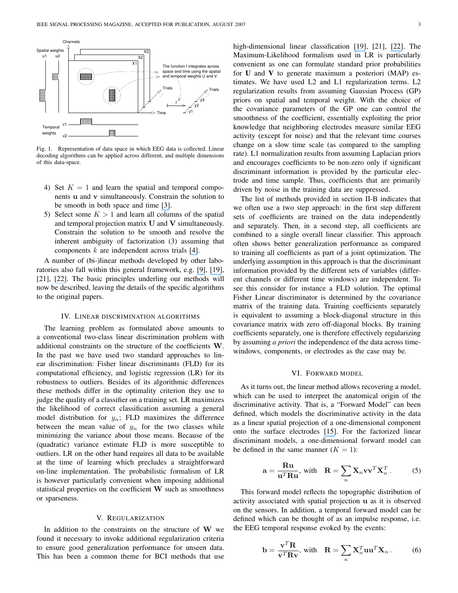

Fig. 1. Representation of data space in which EEG data is collected. Linear decoding algorithms can be applied across different, and multiple dimensions of this data-space.

- 4) Set  $K = 1$  and learn the spatial and temporal components u and v simultaneously. Constrain the solution to be smooth in both space and time [\[3\]](https://www.researchgate.net/publication/5898736_Smooth_bilinear_classification_of_EEG?el=1_x_8&enrichId=rgreq-6182b46cc62de8636034c4aa3b578402-XXX&enrichSource=Y292ZXJQYWdlOzI1MDIwNjg4ODtBUzoxMTQ5MDc3NTIxNzc2NjZAMTQwNDQwNzU1MTMxNA==).
- 5) Select some  $K > 1$  and learn all columns of the spatial and temporal projection matrix U and V simultaneously. Constrain the solution to be smooth and resolve the inherent ambiguity of factorization (3) assuming that components  $k$  are independent across trials [\[4\]](https://www.researchgate.net/publication/220320120_Bilinear_Discriminant_Component_Analysis?el=1_x_8&enrichId=rgreq-6182b46cc62de8636034c4aa3b578402-XXX&enrichSource=Y292ZXJQYWdlOzI1MDIwNjg4ODtBUzoxMTQ5MDc3NTIxNzc2NjZAMTQwNDQwNzU1MTMxNA==).

A number of (bi-)linear methods developed by other laboratories also fall within this general framework, e.g. [\[9\]](https://www.researchgate.net/publication/3036217_Spatio-Spectral_Filters_for_Improving_the_Classification_of_Single_Trial_EEG?el=1_x_8&enrichId=rgreq-6182b46cc62de8636034c4aa3b578402-XXX&enrichSource=Y292ZXJQYWdlOzI1MDIwNjg4ODtBUzoxMTQ5MDc3NTIxNzc2NjZAMTQwNDQwNzU1MTMxNA==), [\[19\]](https://www.researchgate.net/publication/221345077_Classifying_matrices_with_a_spectral_regularization?el=1_x_8&enrichId=rgreq-6182b46cc62de8636034c4aa3b578402-XXX&enrichSource=Y292ZXJQYWdlOzI1MDIwNjg4ODtBUzoxMTQ5MDc3NTIxNzc2NjZAMTQwNDQwNzU1MTMxNA==), [21], [\[22\]](https://www.researchgate.net/publication/221619696_Logistic_Regression_for_Single_Trial_EEG_Classification?el=1_x_8&enrichId=rgreq-6182b46cc62de8636034c4aa3b578402-XXX&enrichSource=Y292ZXJQYWdlOzI1MDIwNjg4ODtBUzoxMTQ5MDc3NTIxNzc2NjZAMTQwNDQwNzU1MTMxNA==). The basic principles underling our methods will now be described, leaving the details of the specific algorithms to the original papers.

#### IV. LINEAR DISCRIMINATION ALGORITHMS

The learning problem as formulated above amounts to a conventional two-class linear discrimination problem with additional constraints on the structure of the coefficients W. In the past we have used two standard approaches to linear discrimination: Fisher linear discriminants (FLD) for its computational efficiency, and logistic regression (LR) for its robustness to outliers. Besides of its algorithmic differences these methods differ in the optimality criterion they use to judge the quality of a classifier on a training set. LR maximizes the likelihood of correct classification assuming a general model distribution for  $y_n$ ; FLD maximizes the difference between the mean value of  $y_n$  for the two classes while minimizing the variance about those means. Because of the (quadratic) variance estimate FLD is more susceptible to outliers. LR on the other hand requires all data to be available at the time of learning which precludes a straightforward on-line implementation. The probabilistic formalism of LR is however particularly convenient when imposing additional statistical properties on the coefficient W such as smoothness or sparseness.

## V. REGULARIZATION

In addition to the constraints on the structure of  $W$  we found it necessary to invoke additional regularization criteria to ensure good generalization performance for unseen data. This has been a common theme for BCI methods that use high-dimensional linear classification [\[19\]](https://www.researchgate.net/publication/221345077_Classifying_matrices_with_a_spectral_regularization?el=1_x_8&enrichId=rgreq-6182b46cc62de8636034c4aa3b578402-XXX&enrichSource=Y292ZXJQYWdlOzI1MDIwNjg4ODtBUzoxMTQ5MDc3NTIxNzc2NjZAMTQwNDQwNzU1MTMxNA==), [21], [\[22\]](https://www.researchgate.net/publication/221619696_Logistic_Regression_for_Single_Trial_EEG_Classification?el=1_x_8&enrichId=rgreq-6182b46cc62de8636034c4aa3b578402-XXX&enrichSource=Y292ZXJQYWdlOzI1MDIwNjg4ODtBUzoxMTQ5MDc3NTIxNzc2NjZAMTQwNDQwNzU1MTMxNA==). The Maximum-Likelihood formalism used in LR is particularly convenient as one can formulate standard prior probabilities for **U** and **V** to generate maximum a posteriori (MAP) estimates. We have used L2 and L1 regularization terms. L2 regularization results from assuming Gaussian Process (GP) priors on spatial and temporal weight. With the choice of the covariance parameters of the GP one can control the smoothness of the coefficient, essentially exploiting the prior knowledge that neighboring electrodes measure similar EEG activity (except for noise) and that the relevant time courses change on a slow time scale (as compared to the sampling rate). L1 normalization results from assuming Laplacian priors and encourages coefficients to be non-zero only if significant discriminant information is provided by the particular electrode and time sample. Thus, coefficients that are primarily driven by noise in the training data are suppressed.

The list of methods provided in section II-B indicates that we often use a two step approach: in the first step different sets of coefficients are trained on the data independently and separately. Then, in a second step, all coefficients are combined to a single overall linear classifier. This approach often shows better generalization performance as compared to training all coefficients as part of a joint optimization. The underlying assumption in this approach is that the discriminant information provided by the different sets of variables (different channels or different time windows) are independent. To see this consider for instance a FLD solution. The optimal Fisher Linear discriminator is determined by the covariance matrix of the training data. Training coefficients separately is equivalent to assuming a block-diagonal structure in this covariance matrix with zero off-diagonal blocks. By training coefficients separately, one is therefore effectively regularizing by assuming *a priori* the independence of the data across timewindows, components, or electrodes as the case may be.

## VI. FORWARD MODEL

As it turns out, the linear method allows recovering a model, which can be used to interpret the anatomical origin of the discriminative activity. That is, a "Forward Model" can been defined, which models the discriminative activity in the data as a linear spatial projection of a one-dimensional component onto the surface electrodes [\[15\]](https://www.researchgate.net/publication/7676230_Recipes_for_the_linear_analysis_of_EEG?el=1_x_8&enrichId=rgreq-6182b46cc62de8636034c4aa3b578402-XXX&enrichSource=Y292ZXJQYWdlOzI1MDIwNjg4ODtBUzoxMTQ5MDc3NTIxNzc2NjZAMTQwNDQwNzU1MTMxNA==). For the factorized linear discriminant models, a one-dimensional forward model can be defined in the same manner  $(K = 1)$ :

$$
\mathbf{a} = \frac{\mathbf{R}\mathbf{u}}{\mathbf{u}^T \mathbf{R}\mathbf{u}}, \text{ with } \mathbf{R} = \sum_{n} \mathbf{X}_n \mathbf{v} \mathbf{v}^T \mathbf{X}_n^T. \quad (5)
$$

This forward model reflects the topographic distribution of activity associated with spatial projection u as it is observed on the sensors. In addition, a temporal forward model can be defined which can be thought of as an impulse response, i.e. the EEG temporal response evoked by the events:

$$
\mathbf{b} = \frac{\mathbf{v}^T \mathbf{R}}{\mathbf{v}^T \mathbf{R} \mathbf{v}}, \text{ with } \mathbf{R} = \sum_n \mathbf{X}_n^T \mathbf{u} \mathbf{u}^T \mathbf{X}_n. \quad (6)
$$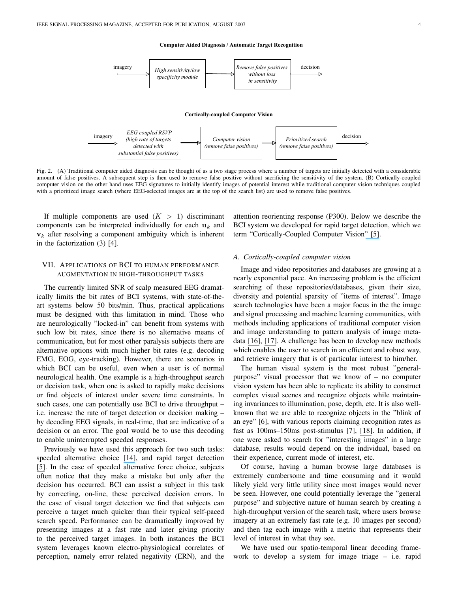**Computer Aided Diagnosis / Automatic Target Recognition**



Fig. 2. (A) Traditional computer aided diagnosis can be thought of as a two stage process where a number of targets are initially detected with a considerable amount of false positives. A subsequent step is then used to remove false positive without sacrificing the sensitivity of the system. (B) Cortically-coupled computer vision on the other hand uses EEG signatures to initially identify images of potential interest while traditional computer vision techniques coupled with a prioritized image search (where EEG-selected images are at the top of the search list) are used to remove false positives.

If multiple components are used  $(K > 1)$  discriminant components can be interpreted individually for each  $\mathbf{u}_k$  and  $v_k$  after resolving a component ambiguity which is inherent in the factorization (3) [4].

# VII. APPLICATIONS OF BCI TO HUMAN PERFORMANCE AUGMENTATION IN HIGH-THROUGHPUT TASKS

The currently limited SNR of scalp measured EEG dramatically limits the bit rates of BCI systems, with state-of-theart systems below 50 bits/min. Thus, practical applications must be designed with this limitation in mind. Those who are neurologically "locked-in" can benefit from systems with such low bit rates, since there is no alternative means of communication, but for most other paralysis subjects there are alternative options with much higher bit rates (e.g. decoding EMG, EOG, eye-tracking). However, there are scenarios in which BCI can be useful, even when a user is of normal neurological health. One example is a high-throughput search or decision task, when one is asked to rapidly make decisions or find objects of interest under severe time constraints. In such cases, one can potentially use BCI to drive throughput – i.e. increase the rate of target detection or decision making – by decoding EEG signals, in real-time, that are indicative of a decision or an error. The goal would be to use this decoding to enable uninterrupted speeded responses.

Previously we have used this approach for two such tasks: speeded alternative choice [\[14\]](https://www.researchgate.net/publication/3430549_Response_error_correction_-_A_demonstration_of_improved_human-machine_performance_using_real-time_EEG_monitoring?el=1_x_8&enrichId=rgreq-6182b46cc62de8636034c4aa3b578402-XXX&enrichSource=Y292ZXJQYWdlOzI1MDIwNjg4ODtBUzoxMTQ5MDc3NTIxNzc2NjZAMTQwNDQwNzU1MTMxNA==), and rapid target detection [\[5\]](https://www.researchgate.net/publication/3430747_Cortically_Coupled_Computer_Vision_for_Rapid_Image_Search?el=1_x_8&enrichId=rgreq-6182b46cc62de8636034c4aa3b578402-XXX&enrichSource=Y292ZXJQYWdlOzI1MDIwNjg4ODtBUzoxMTQ5MDc3NTIxNzc2NjZAMTQwNDQwNzU1MTMxNA==). In the case of speeded alternative force choice, subjects often notice that they make a mistake but only after the decision has occurred. BCI can assist a subject in this task by correcting, on-line, these perceived decision errors. In the case of visual target detection we find that subjects can perceive a target much quicker than their typical self-paced search speed. Performance can be dramatically improved by presenting images at a fast rate and later giving priority to the perceived target images. In both instances the BCI system leverages known electro-physiological correlates of perception, namely error related negativity (ERN), and the attention reorienting response (P300). Below we describe the BCI system we developed for rapid target detection, which we term "Cortically-Coupled Computer Vision" [\[5\]](https://www.researchgate.net/publication/3430747_Cortically_Coupled_Computer_Vision_for_Rapid_Image_Search?el=1_x_8&enrichId=rgreq-6182b46cc62de8636034c4aa3b578402-XXX&enrichSource=Y292ZXJQYWdlOzI1MDIwNjg4ODtBUzoxMTQ5MDc3NTIxNzc2NjZAMTQwNDQwNzU1MTMxNA==).

#### *A. Cortically-coupled computer vision*

Image and video repositories and databases are growing at a nearly exponential pace. An increasing problem is the efficient searching of these repositories/databases, given their size, diversity and potential sparsity of "items of interest". Image search technologies have been a major focus in the the image and signal processing and machine learning communities, with methods including applications of traditional computer vision and image understanding to pattern analysis of image metadata [\[16\]](https://www.researchgate.net/publication/220659589_Photobook_Content-Based_Manipulation_of_Image_Databases?el=1_x_8&enrichId=rgreq-6182b46cc62de8636034c4aa3b578402-XXX&enrichSource=Y292ZXJQYWdlOzI1MDIwNjg4ODtBUzoxMTQ5MDc3NTIxNzc2NjZAMTQwNDQwNzU1MTMxNA==), [\[17\]](https://www.researchgate.net/publication/222498922_Image_Retrieval_Current_Techniques_Promising_Directions_and_Open_Issues?el=1_x_8&enrichId=rgreq-6182b46cc62de8636034c4aa3b578402-XXX&enrichSource=Y292ZXJQYWdlOzI1MDIwNjg4ODtBUzoxMTQ5MDc3NTIxNzc2NjZAMTQwNDQwNzU1MTMxNA==). A challenge has been to develop new methods which enables the user to search in an efficient and robust way, and retrieve imagery that is of particular interest to him/her.

The human visual system is the most robust "generalpurpose" visual processor that we know of – no computer vision system has been able to replicate its ability to construct complex visual scenes and recognize objects while maintaining invariances to illumination, pose, depth, etc. It is also wellknown that we are able to recognize objects in the "blink of an eye" [6], with various reports claiming recognition rates as fast as 100ms–150ms post-stimulus [7], [\[18\]](https://www.researchgate.net/publication/14567385_Speed_of_Processing_in_the_Human_Visual_System?el=1_x_8&enrichId=rgreq-6182b46cc62de8636034c4aa3b578402-XXX&enrichSource=Y292ZXJQYWdlOzI1MDIwNjg4ODtBUzoxMTQ5MDc3NTIxNzc2NjZAMTQwNDQwNzU1MTMxNA==). In addition, if one were asked to search for "interesting images" in a large database, results would depend on the individual, based on their experience, current mode of interest, etc.

Of course, having a human browse large databases is extremely cumbersome and time consuming and it would likely yield very little utility since most images would never be seen. However, one could potentially leverage the "general purpose" and subjective nature of human search by creating a high-throughput version of the search task, where users browse imagery at an extremely fast rate (e.g. 10 images per second) and then tag each image with a metric that represents their level of interest in what they see.

We have used our spatio-temporal linear decoding framework to develop a system for image triage – i.e. rapid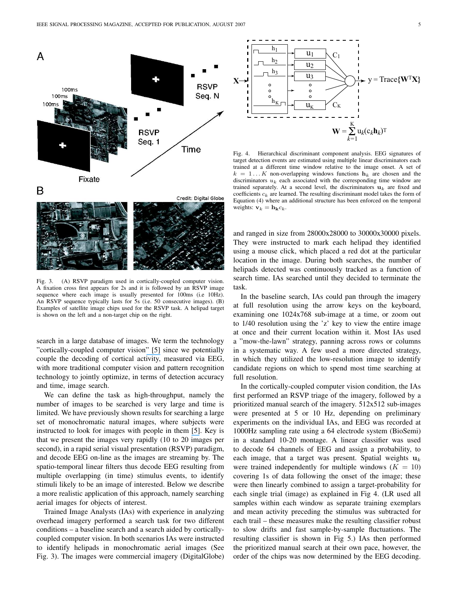



Fig. 3. (A) RSVP paradigm used in cortically-coupled computer vision. A fixation cross first appears for 2s and it is followed by an RSVP image sequence where each image is usually presented for 100ms (i.e 10Hz). An RSVP sequence typically lasts for 5s (i.e. 50 consecutive images). (B) Examples of satellite image chips used for the RSVP task. A helipad target is shown on the left and a non-target chip on the right.

search in a large database of images. We term the technology "cortically-coupled computer vision" [\[5\]](https://www.researchgate.net/publication/3430747_Cortically_Coupled_Computer_Vision_for_Rapid_Image_Search?el=1_x_8&enrichId=rgreq-6182b46cc62de8636034c4aa3b578402-XXX&enrichSource=Y292ZXJQYWdlOzI1MDIwNjg4ODtBUzoxMTQ5MDc3NTIxNzc2NjZAMTQwNDQwNzU1MTMxNA==) since we potentially couple the decoding of cortical activity, measured via EEG, with more traditional computer vision and pattern recognition technology to jointly optimize, in terms of detection accuracy and time, image search.

We can define the task as high-throughput, namely the number of images to be searched is very large and time is limited. We have previously shown results for searching a large set of monochromatic natural images, where subjects were instructed to look for images with people in them [\[5\]](https://www.researchgate.net/publication/3430747_Cortically_Coupled_Computer_Vision_for_Rapid_Image_Search?el=1_x_8&enrichId=rgreq-6182b46cc62de8636034c4aa3b578402-XXX&enrichSource=Y292ZXJQYWdlOzI1MDIwNjg4ODtBUzoxMTQ5MDc3NTIxNzc2NjZAMTQwNDQwNzU1MTMxNA==). Key is that we present the images very rapidly (10 to 20 images per second), in a rapid serial visual presentation (RSVP) paradigm, and decode EEG on-line as the images are streaming by. The spatio-temporal linear filters thus decode EEG resulting from multiple overlapping (in time) stimulus events, to identify stimuli likely to be an image of interested. Below we describe a more realistic application of this approach, namely searching aerial images for objects of interest.

Trained Image Analysts (IAs) with experience in analyzing overhead imagery performed a search task for two different conditions – a baseline search and a search aided by corticallycoupled computer vision. In both scenarios IAs were instructed to identify helipads in monochromatic aerial images (See Fig. 3). The images were commercial imagery (DigitalGlobe)



Fig. 4. Hierarchical discriminant component analysis. EEG signatures of target detection events are estimated using multiple linear discriminators each trained at a different time window relative to the image onset. A set of  $k = 1...K$  non-overlapping windows functions  $h_k$  are chosen and the discriminators  $u_k$  each associated with the corresponding time window are trained separately. At a second level, the discriminators  $\mathbf{u}_k$  are fixed and coefficients  $c_k$  are learned. The resulting discriminant model takes the form of Equation (4) where an additional structure has been enforced on the temporal weights:  $\mathbf{v}_k = \mathbf{h}_\mathbf{k} c_k$ .

and ranged in size from 28000x28000 to 30000x30000 pixels. They were instructed to mark each helipad they identified using a mouse click, which placed a red dot at the particular location in the image. During both searches, the number of helipads detected was continuously tracked as a function of search time. IAs searched until they decided to terminate the task.

In the baseline search, IAs could pan through the imagery at full resolution using the arrow keys on the keyboard, examining one 1024x768 sub-image at a time, or zoom out to 1/40 resolution using the 'z' key to view the entire image at once and their current location within it. Most IAs used a "mow-the-lawn" strategy, panning across rows or columns in a systematic way. A few used a more directed strategy, in which they utilized the low-resolution image to identify candidate regions on which to spend most time searching at full resolution.

In the cortically-coupled computer vision condition, the IAs first performed an RSVP triage of the imagery, followed by a prioritized manual search of the imagery. 512x512 sub-images were presented at 5 or 10 Hz, depending on preliminary experiments on the individual IAs, and EEG was recorded at 1000Hz sampling rate using a 64 electrode system (BioSemi) in a standard 10-20 montage. A linear classifier was used to decode 64 channels of EEG and assign a probability, to each image, that a target was present. Spatial weights  $\mathbf{u}_k$ were trained independently for multiple windows  $(K = 10)$ covering 1s of data following the onset of the image; these were then linearly combined to assign a target-probability for each single trial (image) as explained in Fig 4. (LR used all samples within each window as separate training exemplars and mean activity preceding the stimulus was subtracted for each trail – these measures make the resulting classifier robust to slow drifts and fast sample-by-sample fluctuations. The resulting classifier is shown in Fig 5.) IAs then performed the prioritized manual search at their own pace, however, the order of the chips was now determined by the EEG decoding.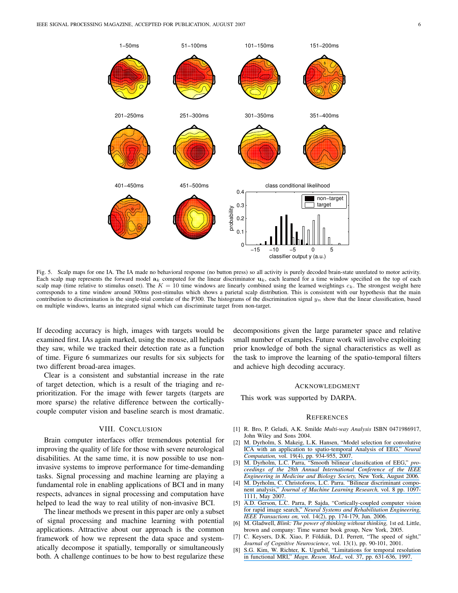

Fig. 5. Scalp maps for one IA. The IA made no behavioral response (no button press) so all activity is purely decoded brain-state unrelated to motor activity. Each scalp map represents the forward model  $a_k$  computed for the linear discriminator  $u_k$ , each learned for a time window specified on the top of each scalp map (time relative to stimulus onset). The  $K = 10$  time windows are linearly combined using the learned weightings  $c_k$ . The strongest weight here corresponds to a time window around 300ms post-stimulus which shows a parietal scalp distribution. This is consistent with our hypothesis that the main contribution to discrimination is the single-trial correlate of the P300. The histograms of the discrimination signal  $y_n$  show that the linear classification, based on multiple windows, learns an integrated signal which can discriminate target from non-target.

If decoding accuracy is high, images with targets would be examined first. IAs again marked, using the mouse, all helipads they saw, while we tracked their detection rate as a function of time. Figure 6 summarizes our results for six subjects for two different broad-area images.

Clear is a consistent and substantial increase in the rate of target detection, which is a result of the triaging and reprioritization. For the image with fewer targets (targets are more sparse) the relative difference between the corticallycouple computer vision and baseline search is most dramatic.

## VIII. CONCLUSION

Brain computer interfaces offer tremendous potential for improving the quality of life for those with severe neurological disabilities. At the same time, it is now possible to use noninvasive systems to improve performance for time-demanding tasks. Signal processing and machine learning are playing a fundamental role in enabling applications of BCI and in many respects, advances in signal processing and computation have helped to lead the way to real utility of non-invasive BCI.

The linear methods we present in this paper are only a subset of signal processing and machine learning with potential applications. Attractive about our approach is the common framework of how we represent the data space and systematically decompose it spatially, temporally or simultaneously both. A challenge continues to be how to best regularize these

decompositions given the large parameter space and relative small number of examples. Future work will involve exploiting prior knowledge of both the signal characteristics as well as the task to improve the learning of the spatio-temporal filters and achieve high decoding accuracy.

## ACKNOWLEDGMENT

This work was supported by DARPA.

#### **REFERENCES**

- [1] R. Bro, P. Geladi, A.K. Smilde *Multi-way Analysis* ISBN 0471986917, John Wiley and Sons 2004.
- [2] M. Dyrholm, S. Makeig, L.K. Hansen, "Model selection for [convolutive](https://www.researchgate.net/publication/6457761_Model_Selection_for_Convolutive_ICA_with_an_Application_to_Spatiotemporal_Analysis_of_EEG?el=1_x_8&enrichId=rgreq-6182b46cc62de8636034c4aa3b578402-XXX&enrichSource=Y292ZXJQYWdlOzI1MDIwNjg4ODtBUzoxMTQ5MDc3NTIxNzc2NjZAMTQwNDQwNzU1MTMxNA==) ICA with an application to [spatio-temporal](https://www.researchgate.net/publication/6457761_Model_Selection_for_Convolutive_ICA_with_an_Application_to_Spatiotemporal_Analysis_of_EEG?el=1_x_8&enrichId=rgreq-6182b46cc62de8636034c4aa3b578402-XXX&enrichSource=Y292ZXJQYWdlOzI1MDIwNjg4ODtBUzoxMTQ5MDc3NTIxNzc2NjZAMTQwNDQwNzU1MTMxNA==) Analysis of EEG," *Neural [Computation,](https://www.researchgate.net/publication/6457761_Model_Selection_for_Convolutive_ICA_with_an_Application_to_Spatiotemporal_Analysis_of_EEG?el=1_x_8&enrichId=rgreq-6182b46cc62de8636034c4aa3b578402-XXX&enrichSource=Y292ZXJQYWdlOzI1MDIwNjg4ODtBUzoxMTQ5MDc3NTIxNzc2NjZAMTQwNDQwNzU1MTMxNA==)* vol. 19(4), pp. 934-955, 2007.
- [3] M. Dyrholm, L.C. Parra, "Smooth bilinear [classification](https://www.researchgate.net/publication/5898736_Smooth_bilinear_classification_of_EEG?el=1_x_8&enrichId=rgreq-6182b46cc62de8636034c4aa3b578402-XXX&enrichSource=Y292ZXJQYWdlOzI1MDIwNjg4ODtBUzoxMTQ5MDc3NTIxNzc2NjZAMTQwNDQwNzU1MTMxNA==) of EEG," *proceedings of the 28th Annual [International](https://www.researchgate.net/publication/5898736_Smooth_bilinear_classification_of_EEG?el=1_x_8&enrichId=rgreq-6182b46cc62de8636034c4aa3b578402-XXX&enrichSource=Y292ZXJQYWdlOzI1MDIwNjg4ODtBUzoxMTQ5MDc3NTIxNzc2NjZAMTQwNDQwNzU1MTMxNA==) Conference of the IEEE [Engineering](https://www.researchgate.net/publication/5898736_Smooth_bilinear_classification_of_EEG?el=1_x_8&enrichId=rgreq-6182b46cc62de8636034c4aa3b578402-XXX&enrichSource=Y292ZXJQYWdlOzI1MDIwNjg4ODtBUzoxMTQ5MDc3NTIxNzc2NjZAMTQwNDQwNzU1MTMxNA==) in Medicine and Biology Society,* New York, August 2006.
- [4] M. Dyrholm, C. [Christoforos,](https://www.researchgate.net/publication/220320120_Bilinear_Discriminant_Component_Analysis?el=1_x_8&enrichId=rgreq-6182b46cc62de8636034c4aa3b578402-XXX&enrichSource=Y292ZXJQYWdlOzI1MDIwNjg4ODtBUzoxMTQ5MDc3NTIxNzc2NjZAMTQwNDQwNzU1MTMxNA==) L.C. Parra. "Bilinear discriminant component analysis," *Journal of Machine Learning [Research,](https://www.researchgate.net/publication/220320120_Bilinear_Discriminant_Component_Analysis?el=1_x_8&enrichId=rgreq-6182b46cc62de8636034c4aa3b578402-XXX&enrichSource=Y292ZXJQYWdlOzI1MDIwNjg4ODtBUzoxMTQ5MDc3NTIxNzc2NjZAMTQwNDQwNzU1MTMxNA==)* vol. 8 pp. 1097- [1111,](https://www.researchgate.net/publication/220320120_Bilinear_Discriminant_Component_Analysis?el=1_x_8&enrichId=rgreq-6182b46cc62de8636034c4aa3b578402-XXX&enrichSource=Y292ZXJQYWdlOzI1MDIwNjg4ODtBUzoxMTQ5MDc3NTIxNzc2NjZAMTQwNDQwNzU1MTMxNA==) May 2007.
- [5] A.D. Gerson, L.C. Parra, P. Sajda, ["Cortically-coupled](https://www.researchgate.net/publication/3430747_Cortically_Coupled_Computer_Vision_for_Rapid_Image_Search?el=1_x_8&enrichId=rgreq-6182b46cc62de8636034c4aa3b578402-XXX&enrichSource=Y292ZXJQYWdlOzI1MDIwNjg4ODtBUzoxMTQ5MDc3NTIxNzc2NjZAMTQwNDQwNzU1MTMxNA==) computer vision for rapid image search," *Neural Systems and [Rehabilitation](https://www.researchgate.net/publication/3430747_Cortically_Coupled_Computer_Vision_for_Rapid_Image_Search?el=1_x_8&enrichId=rgreq-6182b46cc62de8636034c4aa3b578402-XXX&enrichSource=Y292ZXJQYWdlOzI1MDIwNjg4ODtBUzoxMTQ5MDc3NTIxNzc2NjZAMTQwNDQwNzU1MTMxNA==) Engineering, IEEE [Transactions](https://www.researchgate.net/publication/3430747_Cortically_Coupled_Computer_Vision_for_Rapid_Image_Search?el=1_x_8&enrichId=rgreq-6182b46cc62de8636034c4aa3b578402-XXX&enrichSource=Y292ZXJQYWdlOzI1MDIwNjg4ODtBUzoxMTQ5MDc3NTIxNzc2NjZAMTQwNDQwNzU1MTMxNA==) on,* vol. 14(2), pp. 174-179, Jun. 2006.
- [6] M. Gladwell, *Blink: The power of thinking without thinking,* 1st ed. Little, brown and company: Time warner book group, New York, 2005.
- [7] C. Keysers, D.K. Xiao, P. Földiák, D.I. Perrett, "The speed of sight," *Journal of Cognitive Neuroscience*, vol. 13(1), pp. 90-101, 2001.
- [8] S.G. Kim, W. Richter, K. Ugurbil, ["Limitations](https://www.researchgate.net/publication/14122732_Limitations_of_temporal_resolution_in_functional_MRI?el=1_x_8&enrichId=rgreq-6182b46cc62de8636034c4aa3b578402-XXX&enrichSource=Y292ZXJQYWdlOzI1MDIwNjg4ODtBUzoxMTQ5MDc3NTIxNzc2NjZAMTQwNDQwNzU1MTMxNA==) for temporal resolution in [functional](https://www.researchgate.net/publication/14122732_Limitations_of_temporal_resolution_in_functional_MRI?el=1_x_8&enrichId=rgreq-6182b46cc62de8636034c4aa3b578402-XXX&enrichSource=Y292ZXJQYWdlOzI1MDIwNjg4ODtBUzoxMTQ5MDc3NTIxNzc2NjZAMTQwNDQwNzU1MTMxNA==) MRI," *Magn. Reson. Med.,* vol. 37, pp. 631-636, 1997.